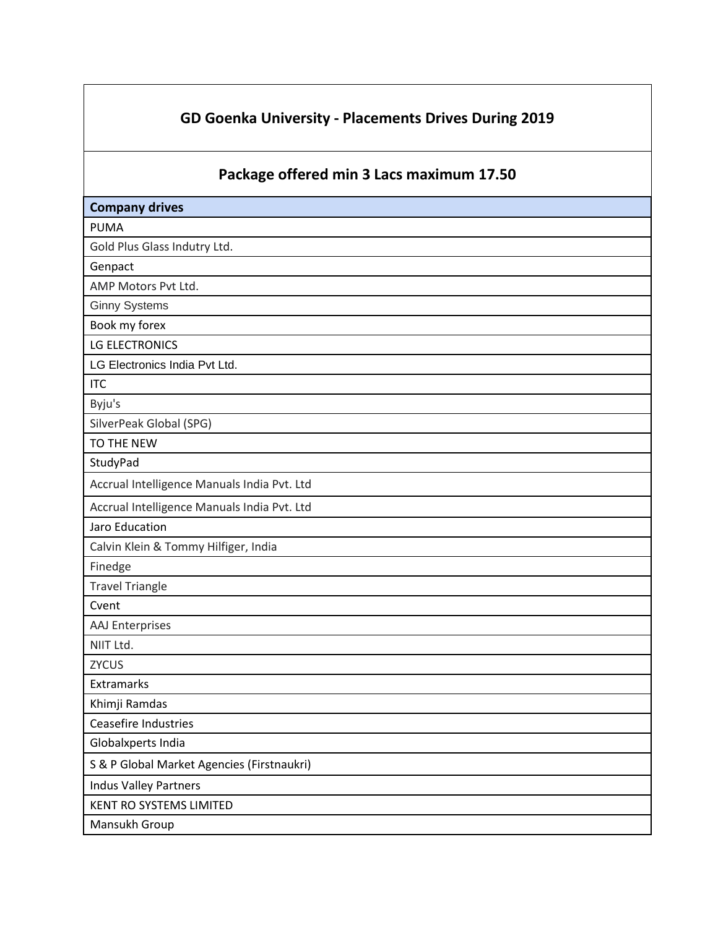## **GD Goenka University - Placements Drives During 2019**

## **Package offered min 3 Lacs maximum 17.50**

| <b>Company drives</b>                       |
|---------------------------------------------|
| <b>PUMA</b>                                 |
| Gold Plus Glass Indutry Ltd.                |
| Genpact                                     |
| AMP Motors Pvt Ltd.                         |
| <b>Ginny Systems</b>                        |
| Book my forex                               |
| <b>LG ELECTRONICS</b>                       |
| LG Electronics India Pvt Ltd.               |
| <b>ITC</b>                                  |
| Byju's                                      |
| SilverPeak Global (SPG)                     |
| TO THE NEW                                  |
| StudyPad                                    |
| Accrual Intelligence Manuals India Pvt. Ltd |
| Accrual Intelligence Manuals India Pvt. Ltd |
| Jaro Education                              |
| Calvin Klein & Tommy Hilfiger, India        |
| Finedge                                     |
| <b>Travel Triangle</b>                      |
| Cvent                                       |
| <b>AAJ Enterprises</b>                      |
| NIIT Ltd.                                   |
| <b>ZYCUS</b>                                |
| Extramarks                                  |
| Khimji Ramdas                               |
| Ceasefire Industries                        |
| Globalxperts India                          |
| S & P Global Market Agencies (Firstnaukri)  |
| <b>Indus Valley Partners</b>                |
| KENT RO SYSTEMS LIMITED                     |
| Mansukh Group                               |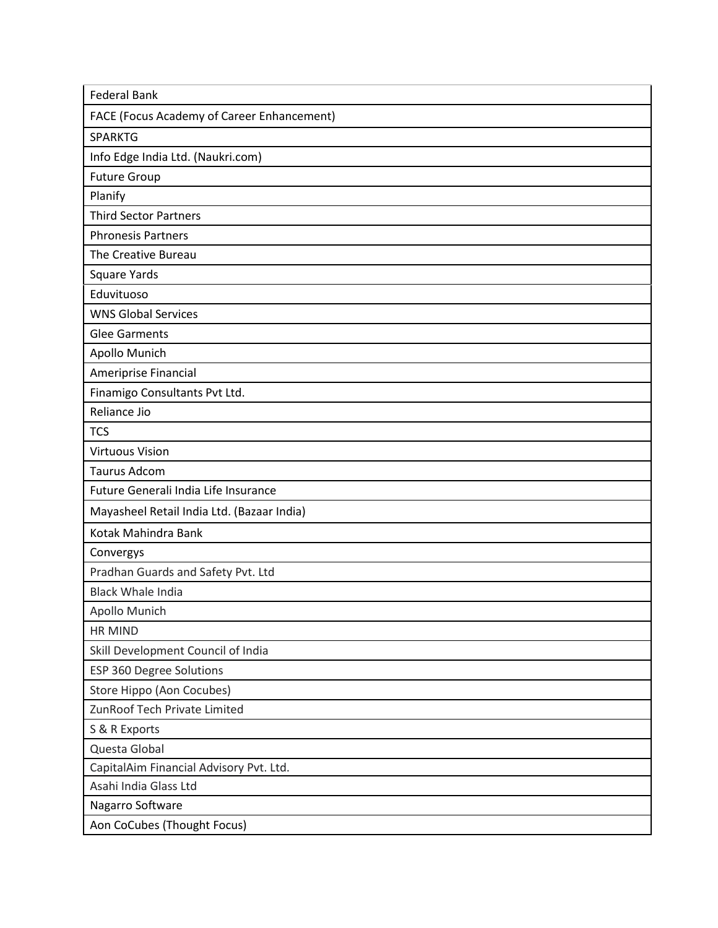| <b>Federal Bank</b>                        |
|--------------------------------------------|
| FACE (Focus Academy of Career Enhancement) |
| <b>SPARKTG</b>                             |
| Info Edge India Ltd. (Naukri.com)          |
| <b>Future Group</b>                        |
| Planify                                    |
| <b>Third Sector Partners</b>               |
| <b>Phronesis Partners</b>                  |
| The Creative Bureau                        |
| <b>Square Yards</b>                        |
| Eduvituoso                                 |
| <b>WNS Global Services</b>                 |
| <b>Glee Garments</b>                       |
| Apollo Munich                              |
| Ameriprise Financial                       |
| Finamigo Consultants Pvt Ltd.              |
| Reliance Jio                               |
| <b>TCS</b>                                 |
| <b>Virtuous Vision</b>                     |
| <b>Taurus Adcom</b>                        |
| Future Generali India Life Insurance       |
| Mayasheel Retail India Ltd. (Bazaar India) |
| Kotak Mahindra Bank                        |
| Convergys                                  |
| Pradhan Guards and Safety Pvt. Ltd         |
| <b>Black Whale India</b>                   |
| Apollo Munich                              |
| HR MIND                                    |
| Skill Development Council of India         |
| ESP 360 Degree Solutions                   |
| Store Hippo (Aon Cocubes)                  |
| ZunRoof Tech Private Limited               |
| S & R Exports                              |
| Questa Global                              |
| CapitalAim Financial Advisory Pvt. Ltd.    |
| Asahi India Glass Ltd                      |
| Nagarro Software                           |
| Aon CoCubes (Thought Focus)                |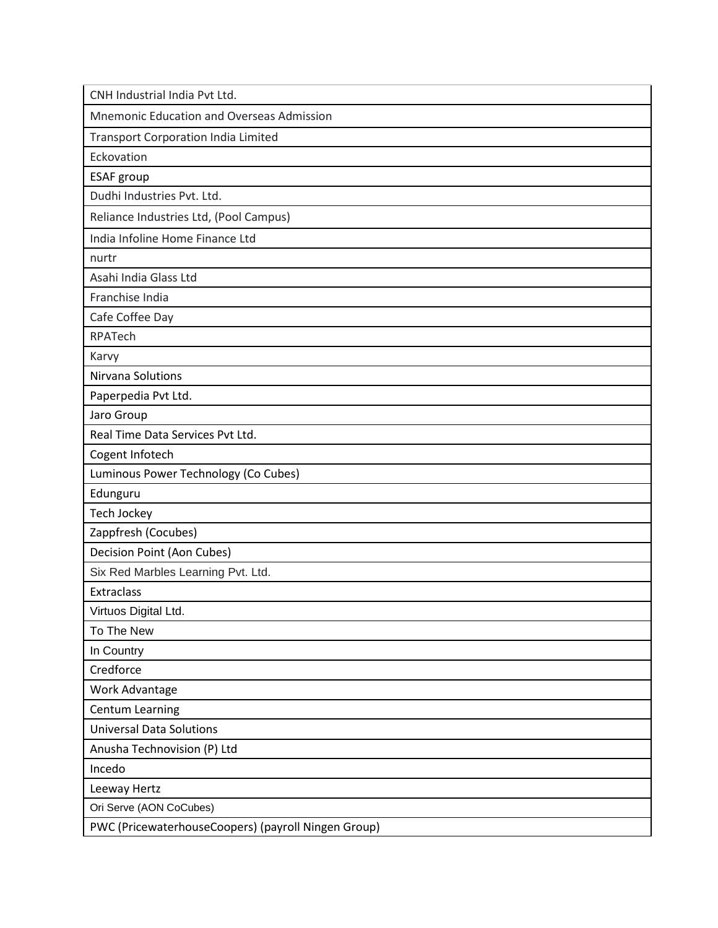| CNH Industrial India Pvt Ltd.                       |
|-----------------------------------------------------|
| <b>Mnemonic Education and Overseas Admission</b>    |
| <b>Transport Corporation India Limited</b>          |
| Eckovation                                          |
| <b>ESAF</b> group                                   |
| Dudhi Industries Pvt. Ltd.                          |
| Reliance Industries Ltd, (Pool Campus)              |
| India Infoline Home Finance Ltd                     |
| nurtr                                               |
| Asahi India Glass Ltd                               |
| Franchise India                                     |
| Cafe Coffee Day                                     |
| RPATech                                             |
| Karvy                                               |
| Nirvana Solutions                                   |
| Paperpedia Pvt Ltd.                                 |
| Jaro Group                                          |
| Real Time Data Services Pvt Ltd.                    |
| Cogent Infotech                                     |
| Luminous Power Technology (Co Cubes)                |
| Edunguru                                            |
| Tech Jockey                                         |
| Zappfresh (Cocubes)                                 |
| Decision Point (Aon Cubes)                          |
| Six Red Marbles Learning Pvt. Ltd.                  |
| Extraclass                                          |
| Virtuos Digital Ltd.                                |
| To The New                                          |
| In Country                                          |
| Credforce                                           |
| Work Advantage                                      |
| Centum Learning                                     |
| <b>Universal Data Solutions</b>                     |
| Anusha Technovision (P) Ltd                         |
| Incedo                                              |
| Leeway Hertz                                        |
| Ori Serve (AON CoCubes)                             |
| PWC (PricewaterhouseCoopers) (payroll Ningen Group) |